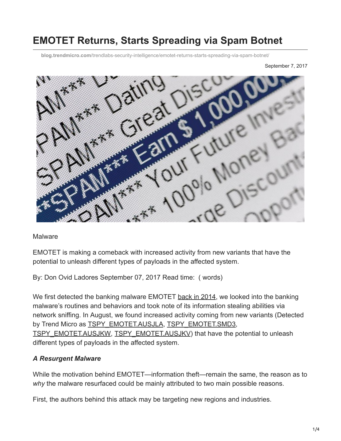# **EMOTET Returns, Starts Spreading via Spam Botnet**

**blog.trendmicro.com**[/trendlabs-security-intelligence/emotet-returns-starts-spreading-via-spam-botnet/](http://blog.trendmicro.com/trendlabs-security-intelligence/emotet-returns-starts-spreading-via-spam-botnet/)

September 7, 2017



**Malware** 

EMOTET is making a comeback with increased activity from new variants that have the potential to unleash different types of payloads in the affected system.

By: Don Ovid Ladores September 07, 2017 Read time: ( words)

We first detected the banking malware EMOTET [back in 2014,](http://blog.trendmicro.com/trendlabs-security-intelligence/new-banking-malware-uses-network-sniffing-for-data-theft/) we looked into the banking malware's routines and behaviors and took note of its information stealing abilities via network sniffing. In August, we found increased activity coming from new variants (Detected by Trend Micro as [TSPY\\_EMOTET.AUSJLA](https://www.trendmicro.com/vinfo/us/threat-encyclopedia/malware/TSPY_EMOTET.AUSJLA), [TSPY\\_EMOTET.SMD3](https://www.trendmicro.com/vinfo/us/threat-encyclopedia/malware/TSPY_EMOTET.SMD3), [TSPY\\_EMOTET.AUSJKW](https://www.trendmicro.com/vinfo/us/threat-encyclopedia/malware/TSPY_EMOTET.AUSJKW), [TSPY\\_EMOTET.AUSJKV\)](https://www.trendmicro.com/vinfo/us/threat-encyclopedia/malware/TSPY_EMOTET.AUSJKV) that have the potential to unleash different types of payloads in the affected system.

#### *A Resurgent Malware*

While the motivation behind EMOTET—information theft—remain the same, the reason as to *why* the malware resurfaced could be mainly attributed to two main possible reasons.

First, the authors behind this attack may be targeting new regions and industries.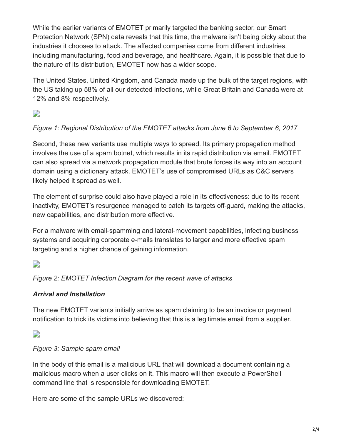While the earlier variants of EMOTET primarily targeted the banking sector, our Smart Protection Network (SPN) data reveals that this time, the malware isn't being picky about the industries it chooses to attack. The affected companies come from different industries, including manufacturing, food and beverage, and healthcare. Again, it is possible that due to the nature of its distribution, EMOTET now has a wider scope.

The United States, United Kingdom, and Canada made up the bulk of the target regions, with the US taking up 58% of all our detected infections, while Great Britain and Canada were at 12% and 8% respectively.

D

## *Figure 1: Regional Distribution of the EMOTET attacks from June 6 to September 6, 2017*

Second, these new variants use multiple ways to spread. Its primary propagation method involves the use of a spam botnet, which results in its rapid distribution via email. EMOTET can also spread via a network propagation module that brute forces its way into an account domain using a dictionary attack. EMOTET's use of compromised URLs as C&C servers likely helped it spread as well.

The element of surprise could also have played a role in its effectiveness: due to its recent inactivity, EMOTET's resurgence managed to catch its targets off-guard, making the attacks, new capabilities, and distribution more effective.

For a malware with email-spamming and lateral-movement capabilities, infecting business systems and acquiring corporate e-mails translates to larger and more effective spam targeting and a higher chance of gaining information.

## $\overline{\phantom{a}}$

*Figure 2: EMOTET Infection Diagram for the recent wave of attacks*

### *Arrival and Installation*

The new EMOTET variants initially arrive as spam claiming to be an invoice or payment notification to trick its victims into believing that this is a legitimate email from a supplier.

 $\Box$ 

### *Figure 3: Sample spam email*

In the body of this email is a malicious URL that will download a document containing a malicious macro when a user clicks on it. This macro will then execute a PowerShell command line that is responsible for downloading EMOTET.

Here are some of the sample URLs we discovered: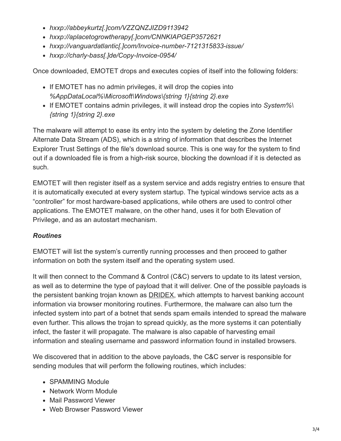- *hxxp://abbeykurtz[.]com/VZZQNZJIZD9113942*
- *hxxp://aplacetogrowtherapy[.]com/CNNKIAPGEP3572621*
- *hxxp://vanguardatlantic[.]com/Invoice-number-7121315833-issue/*
- *hxxp://charly-bass[.]de/Copy-Invoice-0954/*

Once downloaded, EMOTET drops and executes copies of itself into the following folders:

- If EMOTET has no admin privileges, it will drop the copies into *%AppDataLocal%\Microsoft\Windows\{string 1}{string 2}.exe*
- If EMOTET contains admin privileges, it will instead drop the copies into *System%\ {string 1}{string 2}.exe*

The malware will attempt to ease its entry into the system by deleting the Zone Identifier Alternate Data Stream (ADS), which is a string of information that describes the Internet Explorer Trust Settings of the file's download source. This is one way for the system to find out if a downloaded file is from a high-risk source, blocking the download if it is detected as such.

EMOTET will then register itself as a system service and adds registry entries to ensure that it is automatically executed at every system startup. The typical windows service acts as a "controller" for most hardware-based applications, while others are used to control other applications. The EMOTET malware, on the other hand, uses it for both Elevation of Privilege, and as an autostart mechanism.

### *Routines*

EMOTET will list the system's currently running processes and then proceed to gather information on both the system itself and the operating system used.

It will then connect to the Command & Control (C&C) servers to update to its latest version, as well as to determine the type of payload that it will deliver. One of the possible payloads is the persistent banking trojan known as [DRIDEX,](https://www.trendmicro.com/vinfo/us/threat-encyclopedia/web-attack/3147/dealing-with-the-mess-of-dridex) which attempts to harvest banking account information via browser monitoring routines. Furthermore, the malware can also turn the infected system into part of a botnet that sends spam emails intended to spread the malware even further. This allows the trojan to spread quickly, as the more systems it can potentially infect, the faster it will propagate. The malware is also capable of harvesting email information and stealing username and password information found in installed browsers.

We discovered that in addition to the above payloads, the C&C server is responsible for sending modules that will perform the following routines, which includes:

- SPAMMING Module
- Network Worm Module
- Mail Password Viewer
- Web Browser Password Viewer